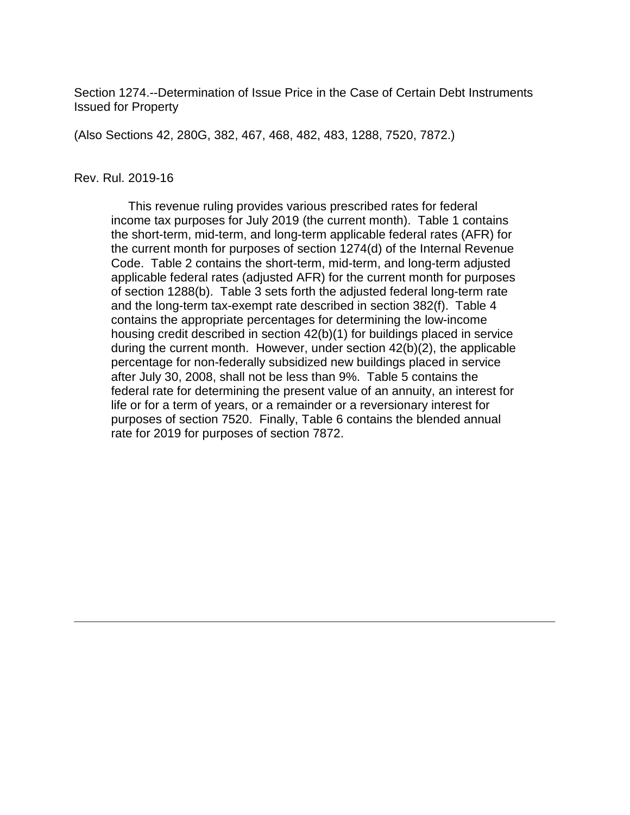Section 1274.--Determination of Issue Price in the Case of Certain Debt Instruments Issued for Property

(Also Sections 42, 280G, 382, 467, 468, 482, 483, 1288, 7520, 7872.)

#### Rev. Rul. 2019-16

 This revenue ruling provides various prescribed rates for federal income tax purposes for July 2019 (the current month). Table 1 contains the short-term, mid-term, and long-term applicable federal rates (AFR) for the current month for purposes of section 1274(d) of the Internal Revenue Code. Table 2 contains the short-term, mid-term, and long-term adjusted applicable federal rates (adjusted AFR) for the current month for purposes of section 1288(b). Table 3 sets forth the adjusted federal long-term rate and the long-term tax-exempt rate described in section 382(f). Table 4 contains the appropriate percentages for determining the low-income housing credit described in section 42(b)(1) for buildings placed in service during the current month. However, under section 42(b)(2), the applicable percentage for non-federally subsidized new buildings placed in service after July 30, 2008, shall not be less than 9%. Table 5 contains the federal rate for determining the present value of an annuity, an interest for life or for a term of years, or a remainder or a reversionary interest for purposes of section 7520. Finally, Table 6 contains the blended annual rate for 2019 for purposes of section 7872.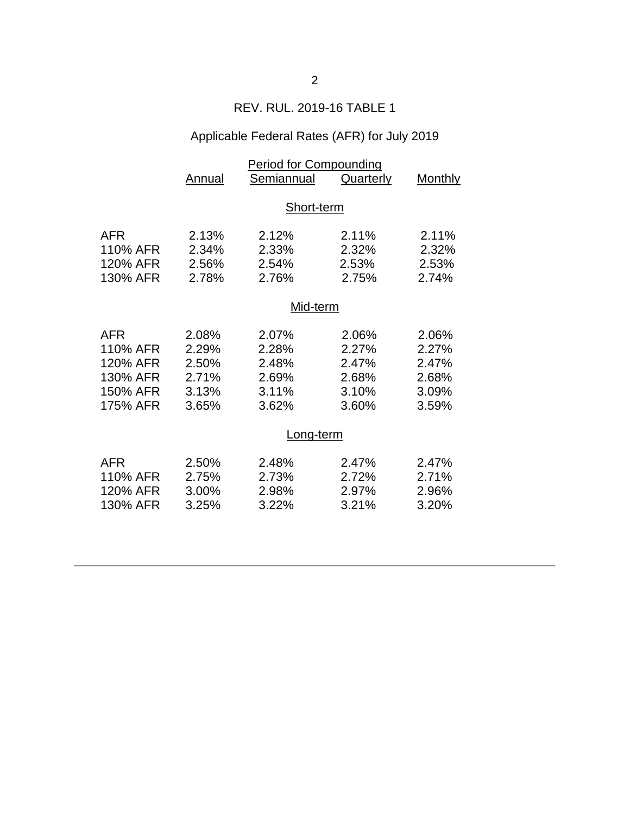### REV. RUL. 2019-16 TABLE 1

# Applicable Federal Rates (AFR) for July 2019

|            | Period for Compounding |            |                  |                |  |
|------------|------------------------|------------|------------------|----------------|--|
|            | <b>Annual</b>          | Semiannual | <b>Quarterly</b> | <b>Monthly</b> |  |
|            |                        |            |                  |                |  |
|            | Short-term             |            |                  |                |  |
|            |                        |            |                  |                |  |
| AFR        | 2.13%                  | 2.12%      | 2.11%            | 2.11%          |  |
| 110% AFR   | 2.34%                  | 2.33%      | 2.32%            | 2.32%          |  |
| 120% AFR   | 2.56%                  | 2.54%      | 2.53%            | 2.53%          |  |
| 130% AFR   | 2.78%                  | 2.76%      | 2.75%            | 2.74%          |  |
|            | Mid-term               |            |                  |                |  |
|            |                        |            |                  |                |  |
| <b>AFR</b> | 2.08%                  | 2.07%      | 2.06%            | 2.06%          |  |
| 110% AFR   | 2.29%                  | 2.28%      | 2.27%            | 2.27%          |  |
| 120% AFR   | 2.50%                  | 2.48%      | 2.47%            | 2.47%          |  |
| 130% AFR   | 2.71%                  | 2.69%      | 2.68%            | 2.68%          |  |
| 150% AFR   | 3.13%                  | 3.11%      | 3.10%            | 3.09%          |  |
| 175% AFR   | 3.65%                  | 3.62%      | 3.60%            | 3.59%          |  |
|            |                        |            |                  |                |  |
|            | Long-term              |            |                  |                |  |
| <b>AFR</b> | 2.50%                  | 2.48%      | 2.47%            | 2.47%          |  |
| 110% AFR   | 2.75%                  | 2.73%      | 2.72%            | 2.71%          |  |
| 120% AFR   | 3.00%                  | 2.98%      | 2.97%            | 2.96%          |  |
| 130% AFR   |                        |            | 3.21%            |                |  |
|            | 3.25%                  | 3.22%      |                  | 3.20%          |  |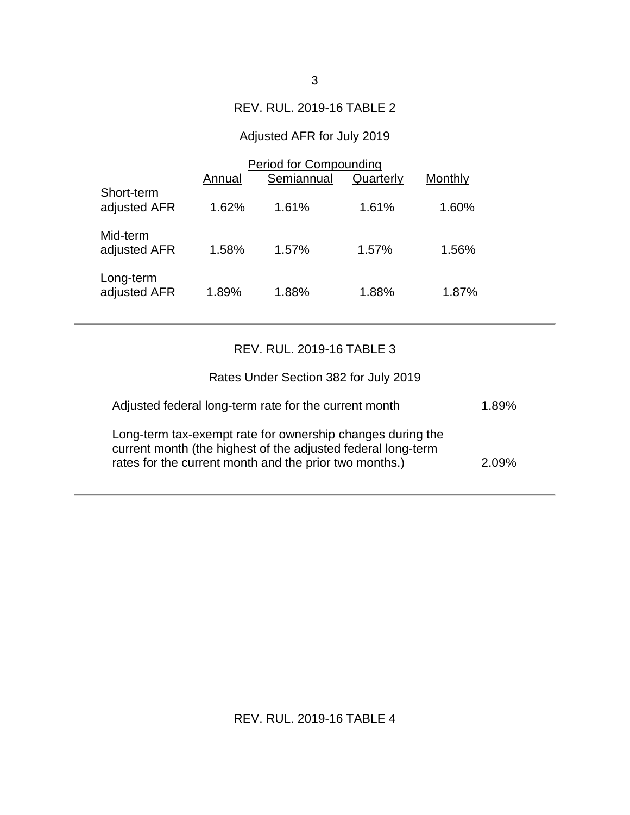#### REV. RUL. 2019-16 TABLE 2

### Adjusted AFR for July 2019

|                            | Period for Compounding |            |           |         |
|----------------------------|------------------------|------------|-----------|---------|
|                            | Annual                 | Semiannual | Quarterly | Monthly |
| Short-term<br>adjusted AFR | 1.62%                  | 1.61%      | 1.61%     | 1.60%   |
| Mid-term<br>adjusted AFR   | 1.58%                  | 1.57%      | 1.57%     | 1.56%   |
| Long-term<br>adjusted AFR  | 1.89%                  | 1.88%      | 1.88%     | 1.87%   |

### REV. RUL. 2019-16 TABLE 3

| Rates Under Section 382 for July 2019                                                                                                                                                |       |
|--------------------------------------------------------------------------------------------------------------------------------------------------------------------------------------|-------|
| Adjusted federal long-term rate for the current month                                                                                                                                | 1.89% |
| Long-term tax-exempt rate for ownership changes during the<br>current month (the highest of the adjusted federal long-term<br>rates for the current month and the prior two months.) | 2.09% |

## REV. RUL. 2019-16 TABLE 4